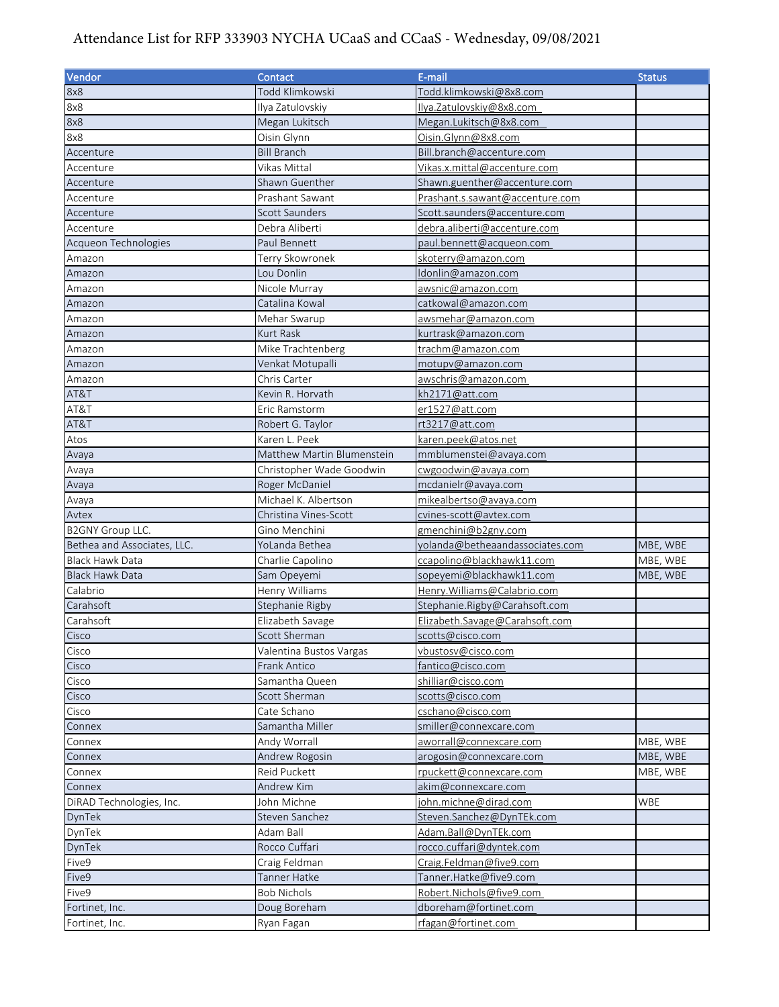## Attendance List for RFP 333903 NYCHA UCaaS and CCaaS - Wednesday, 09/08/2021

| Vendor                      | Contact                    | E-mail                          | <b>Status</b> |
|-----------------------------|----------------------------|---------------------------------|---------------|
| 8x8                         | Todd Klimkowski            | Todd.klimkowski@8x8.com         |               |
| 8x8                         | Ilya Zatulovskiy           | Ilya. Zatulovskiy@8x8.com       |               |
| 8x8                         | Megan Lukitsch             | Megan.Lukitsch@8x8.com          |               |
| 8x8                         | Oisin Glynn                | Oisin.Glynn@8x8.com             |               |
| Accenture                   | <b>Bill Branch</b>         | Bill.branch@accenture.com       |               |
| Accenture                   | Vikas Mittal               | Vikas.x.mittal@accenture.com    |               |
| Accenture                   | Shawn Guenther             | Shawn.guenther@accenture.com    |               |
| Accenture                   | Prashant Sawant            | Prashant.s.sawant@accenture.com |               |
| Accenture                   | Scott Saunders             | Scott.saunders@accenture.com    |               |
| Accenture                   | Debra Aliberti             | debra.aliberti@accenture.com    |               |
| Acqueon Technologies        | Paul Bennett               | paul.bennett@acqueon.com        |               |
| Amazon                      | Terry Skowronek            | skoterry@amazon.com             |               |
| Amazon                      | Lou Donlin                 | Idonlin@amazon.com              |               |
| Amazon                      | Nicole Murray              | awsnic@amazon.com               |               |
| Amazon                      | Catalina Kowal             | catkowal@amazon.com             |               |
| Amazon                      | Mehar Swarup               | awsmehar@amazon.com             |               |
| Amazon                      | Kurt Rask                  | kurtrask@amazon.com             |               |
| Amazon                      | Mike Trachtenberg          | trac <u>hm@amazon.com</u>       |               |
| Amazon                      | Venkat Motupalli           | motupv@amazon.com               |               |
| Amazon                      | Chris Carter               | awschris@amazon.com             |               |
| AT&T                        | Kevin R. Horvath           | kh2171@att.com                  |               |
| AT&T                        | Eric Ramstorm              | er1527@att.com                  |               |
| AT&T                        | Robert G. Taylor           | rt3217@att.com                  |               |
| Atos                        | Karen L. Peek              | karen.peek@atos.net             |               |
| Avaya                       | Matthew Martin Blumenstein | mmblumenstei@avaya.com          |               |
| Avaya                       | Christopher Wade Goodwin   | cwgoodwin@avaya.com             |               |
| Avaya                       | Roger McDaniel             | mcdanielr@avaya.com             |               |
| Avaya                       | Michael K. Albertson       | mikealbertso@avaya.com          |               |
| Avtex                       | Christina Vines-Scott      | cvines-scott@avtex.com          |               |
| <b>B2GNY Group LLC.</b>     | Gino Menchini              | gmenchini@b2gny.com             |               |
| Bethea and Associates, LLC. | YoLanda Bethea             | yolanda@betheaandassociates.com | MBE, WBE      |
| Black Hawk Data             | Charlie Capolino           | ccapolino@blackhawk11.com       | MBE, WBE      |
| <b>Black Hawk Data</b>      | Sam Opeyemi                | sopeyemi@blackhawk11.com        | MBE, WBE      |
| Calabrio                    | Henry Williams             | Henry.Williams@Calabrio.com     |               |
| Carahsoft                   | Stephanie Rigby            | Stephanie.Rigby@Carahsoft.com   |               |
| Carahsoft                   | Elizabeth Savage           | Elizabeth.Savage@Carahsoft.com  |               |
| Cisco                       | Scott Sherman              | scotts@cisco.com                |               |
| Cisco                       | Valentina Bustos Vargas    | vbustosv@cisco.com              |               |
| Cisco                       | Frank Antico               | fantico@cisco.com               |               |
| Cisco                       | Samantha Queen             | shilliar@cisco.com              |               |
| Cisco                       | Scott Sherman              | scotts@cisco.com                |               |
| Cisco                       | Cate Schano                | cschano@cisco.com               |               |
| Connex                      | Samantha Miller            | smiller@connexcare.com          |               |
| Connex                      | Andy Worrall               | aworrall@connexcare.com         | MBE, WBE      |
| Connex                      | Andrew Rogosin             | arogosin@connexcare.com         | MBE, WBE      |
| Connex                      | <b>Reid Puckett</b>        | rpuckett@connexcare.com         | MBE, WBE      |
| Connex                      | Andrew Kim                 | akim@connexcare.com             |               |
| DiRAD Technologies, Inc.    | John Michne                | john.michne@dirad.com           | WBE           |
| DynTek                      | Steven Sanchez             | Steven.Sanchez@DynTEk.com       |               |
| DynTek                      | Adam Ball                  | Adam.Ball@DynTEk.com            |               |
| DynTek                      | Rocco Cuffari              | rocco.cuffari@dyntek.com        |               |
| Five9                       | Craig Feldman              | Craig.Feldman@five9.com         |               |
| Five9                       | Tanner Hatke               | Tanner.Hatke@five9.com          |               |
| Five9                       | <b>Bob Nichols</b>         | Robert.Nichols@five9.com        |               |
| Fortinet, Inc.              | Doug Boreham               | dboreham@fortinet.com           |               |
| Fortinet, Inc.              | Ryan Fagan                 | rfagan@fortinet.com             |               |
|                             |                            |                                 |               |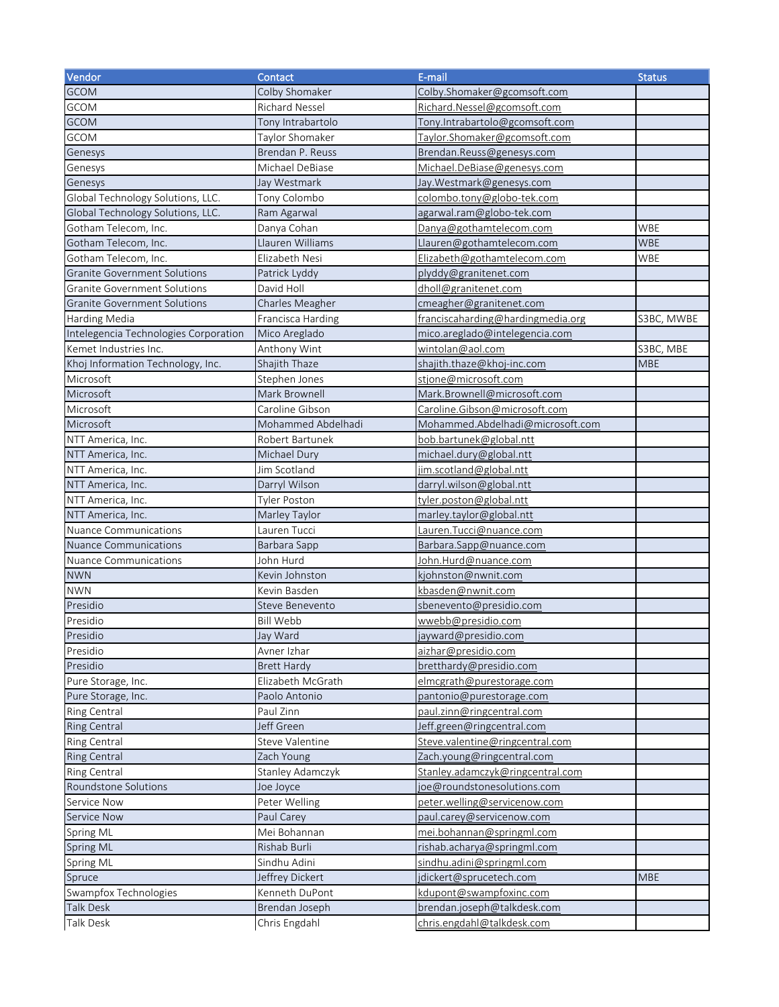| Vendor                                | Contact               | E-mail                            | <b>Status</b> |
|---------------------------------------|-----------------------|-----------------------------------|---------------|
| <b>GCOM</b>                           | Colby Shomaker        | Colby.Shomaker@gcomsoft.com       |               |
| <b>GCOM</b>                           | <b>Richard Nessel</b> | Richard.Nessel@gcomsoft.com       |               |
| <b>GCOM</b>                           | Tony Intrabartolo     | Tony.Intrabartolo@gcomsoft.com    |               |
| <b>GCOM</b>                           | Taylor Shomaker       | Taylor.Shomaker@gcomsoft.com      |               |
| Genesys                               | Brendan P. Reuss      | Brendan.Reuss@genesys.com         |               |
| Genesys                               | Michael DeBiase       | Michael.DeBiase@genesys.com       |               |
| Genesys                               | Jay Westmark          | Jay. Westmark@genesys.com         |               |
| Global Technology Solutions, LLC.     | Tony Colombo          | colombo.tony@globo-tek.com        |               |
| Global Technology Solutions, LLC.     | Ram Agarwal           | agarwal.ram@globo-tek.com         |               |
| Gotham Telecom, Inc.                  | Danya Cohan           | Danya@gothamtelecom.com           | WBE           |
| Gotham Telecom, Inc.                  | Llauren Williams      | Llauren@gothamtelecom.com         | <b>WBE</b>    |
| Gotham Telecom, Inc.                  | Elizabeth Nesi        | Elizabeth@gothamtelecom.com       | WBE           |
| <b>Granite Government Solutions</b>   | Patrick Lyddy         | plyddy@granitenet.com             |               |
| <b>Granite Government Solutions</b>   | David Holl            | dholl@granitenet.com              |               |
| <b>Granite Government Solutions</b>   | Charles Meagher       | cmeagher@granitenet.com           |               |
| Harding Media                         | Francisca Harding     | franciscaharding@hardingmedia.org | S3BC, MWBE    |
| Intelegencia Technologies Corporation | Mico Areglado         | mico.areglado@intelegencia.com    |               |
| Kemet Industries Inc.                 | Anthony Wint          | wintolan@aol.com                  | S3BC, MBE     |
| Khoj Information Technology, Inc.     | Shajith Thaze         | shajith.thaze@khoj-inc.com        | <b>MBE</b>    |
| Microsoft                             | Stephen Jones         | stjone@microsoft.com              |               |
| Microsoft                             | Mark Brownell         | Mark.Brownell@microsoft.com       |               |
| Microsoft                             | Caroline Gibson       | Caroline.Gibson@microsoft.com     |               |
| Microsoft                             | Mohammed Abdelhadi    | Mohammed.Abdelhadi@microsoft.com  |               |
| NTT America, Inc.                     | Robert Bartunek       | bob.bartunek@global.ntt           |               |
| NTT America, Inc.                     | Michael Dury          | michael.dury@global.ntt           |               |
| NTT America, Inc.                     | Jim Scotland          | jim.scotland@global.ntt           |               |
| NTT America, Inc.                     | Darryl Wilson         | darryl.wilson@global.ntt          |               |
| NTT America, Inc.                     | Tyler Poston          | tyler.poston@global.ntt           |               |
| NTT America, Inc.                     | Marley Taylor         | marley.taylor@global.ntt          |               |
| <b>Nuance Communications</b>          | Lauren Tucci          | Lauren.Tucci@nuance.com           |               |
| <b>Nuance Communications</b>          | Barbara Sapp          | Barbara.Sapp@nuance.com           |               |
| <b>Nuance Communications</b>          | John Hurd             | John.Hurd@nuance.com              |               |
| <b>NWN</b>                            | Kevin Johnston        | kjohnston@nwnit.com               |               |
| <b>NWN</b>                            | Kevin Basden          | kbasden@nwnit.com                 |               |
| Presidio                              | Steve Benevento       | sbenevento@presidio.com           |               |
| Presidio                              | <b>Bill Webb</b>      | wwebb@presidio.com                |               |
| Presidio                              | Jay Ward              | jayward@presidio.com              |               |
| Presidio                              | Avner Izhar           | aizhar@presidio.com               |               |
| Presidio                              | <b>Brett Hardy</b>    | bretthardy@presidio.com           |               |
| Pure Storage, Inc.                    | Elizabeth McGrath     | elmcgrath@purestorage.com         |               |
| Pure Storage, Inc.                    | Paolo Antonio         | pantonio@purestorage.com          |               |
| Ring Central                          | Paul Zinn             | paul.zinn@ringcentral.com         |               |
| Ring Central                          | Jeff Green            | Jeff.green@ringcentral.com        |               |
| Ring Central                          | Steve Valentine       | Steve.valentine@ringcentral.com   |               |
| <b>Ring Central</b>                   | Zach Young            | Zach.young@ringcentral.com        |               |
| Ring Central                          | Stanley Adamczyk      | Stanley.adamczyk@ringcentral.com  |               |
| Roundstone Solutions                  | Joe Joyce             | joe@roundstonesolutions.com       |               |
| Service Now                           | Peter Welling         | peter.welling@servicenow.com      |               |
| Service Now                           | Paul Carey            | paul.carey@servicenow.com         |               |
| Spring ML                             | Mei Bohannan          | mei.bohannan@springml.com         |               |
| Spring ML                             | Rishab Burli          | rishab.acharya@springml.com       |               |
| Spring ML                             | Sindhu Adini          | sindhu.adini@springml.com         |               |
| Spruce                                | Jeffrey Dickert       | jdickert@sprucetech.com           | <b>MBE</b>    |
| Swampfox Technologies                 | Kenneth DuPont        | kdupont@swampfoxinc.com           |               |
| <b>Talk Desk</b>                      | Brendan Joseph        | brendan.joseph@talkdesk.com       |               |
| Talk Desk                             | Chris Engdahl         | chris.engdahl@talkdesk.com        |               |